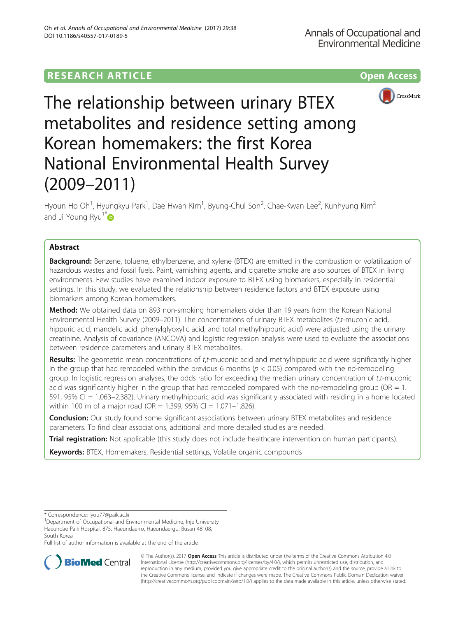# **RESEARCH ARTICLE Example 2014 12:30 The Contract of Contract ACCESS**



The relationship between urinary BTEX metabolites and residence setting among Korean homemakers: the first Korea National Environmental Health Survey (2009–2011)

Hyoun Ho Oh<sup>1</sup>, Hyungkyu Park<sup>1</sup>, Dae Hwan Kim<sup>1</sup>, Byung-Chul Son<sup>2</sup>, Chae-Kwan Lee<sup>2</sup>, Kunhyung Kim<sup>2</sup> and Ji Young Ryu $1^*$  $1^*$ 

## Abstract

**Background:** Benzene, toluene, ethylbenzene, and xylene (BTEX) are emitted in the combustion or volatilization of hazardous wastes and fossil fuels. Paint, varnishing agents, and cigarette smoke are also sources of BTEX in living environments. Few studies have examined indoor exposure to BTEX using biomarkers, especially in residential settings. In this study, we evaluated the relationship between residence factors and BTEX exposure using biomarkers among Korean homemakers.

Method: We obtained data on 893 non-smoking homemakers older than 19 years from the Korean National Environmental Health Survey (2009–2011). The concentrations of urinary BTEX metabolites (t,t-muconic acid, hippuric acid, mandelic acid, phenylglyoxylic acid, and total methylhippuric acid) were adjusted using the urinary creatinine. Analysis of covariance (ANCOVA) and logistic regression analysis were used to evaluate the associations between residence parameters and urinary BTEX metabolites.

Results: The geometric mean concentrations of t,t-muconic acid and methylhippuric acid were significantly higher in the group that had remodeled within the previous 6 months ( $p < 0.05$ ) compared with the no-remodeling group. In logistic regression analyses, the odds ratio for exceeding the median urinary concentration of t,t-muconic acid was significantly higher in the group that had remodeled compared with the no-remodeling group (OR  $= 1$ . 591, 95% CI = 1.063–2.382). Urinary methylhippuric acid was significantly associated with residing in a home located within 100 m of a major road (OR = 1.399, 95% CI = 1.071-1.826).

**Conclusion:** Our study found some significant associations between urinary BTEX metabolites and residence parameters. To find clear associations, additional and more detailed studies are needed.

**Trial registration:** Not applicable (this study does not include healthcare intervention on human participants).

Keywords: BTEX, Homemakers, Residential settings, Volatile organic compounds

Full list of author information is available at the end of the article



© The Author(s). 2017 **Open Access** This article is distributed under the terms of the Creative Commons Attribution 4.0 International License [\(http://creativecommons.org/licenses/by/4.0/](http://creativecommons.org/licenses/by/4.0/)), which permits unrestricted use, distribution, and reproduction in any medium, provided you give appropriate credit to the original author(s) and the source, provide a link to the Creative Commons license, and indicate if changes were made. The Creative Commons Public Domain Dedication waiver [\(http://creativecommons.org/publicdomain/zero/1.0/](http://creativecommons.org/publicdomain/zero/1.0/)) applies to the data made available in this article, unless otherwise stated.

<sup>\*</sup> Correspondence: [lyou77@paik.ac.kr](mailto:lyou77@paik.ac.kr) <sup>1</sup>

<sup>&</sup>lt;sup>1</sup>Department of Occupational and Environmental Medicine, Inje University Haeundae Paik Hospital, 875, Haeundae-ro, Haeundae-gu, Busan 48108, South Korea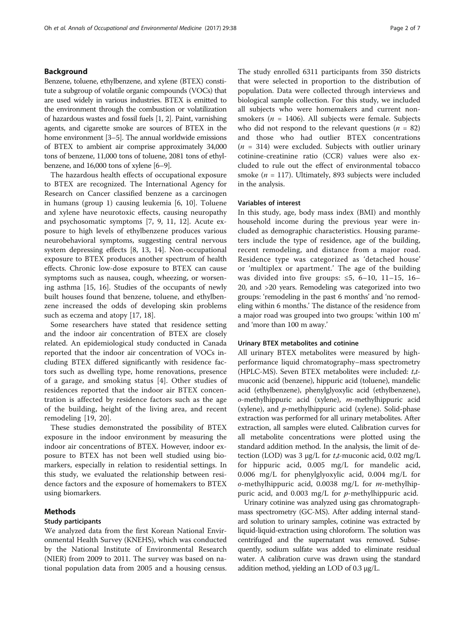## Background

Benzene, toluene, ethylbenzene, and xylene (BTEX) constitute a subgroup of volatile organic compounds (VOCs) that are used widely in various industries. BTEX is emitted to the environment through the combustion or volatilization of hazardous wastes and fossil fuels [\[1](#page-5-0), [2\]](#page-5-0). Paint, varnishing agents, and cigarette smoke are sources of BTEX in the home environment [\[3](#page-5-0)–[5](#page-6-0)]. The annual worldwide emissions of BTEX to ambient air comprise approximately 34,000 tons of benzene, 11,000 tons of toluene, 2081 tons of ethylbenzene, and 16,000 tons of xylene [[6](#page-6-0)–[9\]](#page-6-0).

The hazardous health effects of occupational exposure to BTEX are recognized. The International Agency for Research on Cancer classified benzene as a carcinogen in humans (group 1) causing leukemia [[6, 10\]](#page-6-0). Toluene and xylene have neurotoxic effects, causing neuropathy and psychosomatic symptoms [[7, 9](#page-6-0), [11, 12](#page-6-0)]. Acute exposure to high levels of ethylbenzene produces various neurobehavioral symptoms, suggesting central nervous system depressing effects [[8, 13](#page-6-0), [14](#page-6-0)]. Non-occupational exposure to BTEX produces another spectrum of health effects. Chronic low-dose exposure to BTEX can cause symptoms such as nausea, cough, wheezing, or worsening asthma [\[15](#page-6-0), [16](#page-6-0)]. Studies of the occupants of newly built houses found that benzene, toluene, and ethylbenzene increased the odds of developing skin problems such as eczema and atopy [\[17, 18\]](#page-6-0).

Some researchers have stated that residence setting and the indoor air concentration of BTEX are closely related. An epidemiological study conducted in Canada reported that the indoor air concentration of VOCs including BTEX differed significantly with residence factors such as dwelling type, home renovations, presence of a garage, and smoking status [\[4](#page-6-0)]. Other studies of residences reported that the indoor air BTEX concentration is affected by residence factors such as the age of the building, height of the living area, and recent remodeling [[19, 20](#page-6-0)].

These studies demonstrated the possibility of BTEX exposure in the indoor environment by measuring the indoor air concentrations of BTEX. However, indoor exposure to BTEX has not been well studied using biomarkers, especially in relation to residential settings. In this study, we evaluated the relationship between residence factors and the exposure of homemakers to BTEX using biomarkers.

## Methods

## Study participants

We analyzed data from the first Korean National Environmental Health Survey (KNEHS), which was conducted by the National Institute of Environmental Research (NIER) from 2009 to 2011. The survey was based on national population data from 2005 and a housing census.

The study enrolled 6311 participants from 350 districts that were selected in proportion to the distribution of population. Data were collected through interviews and biological sample collection. For this study, we included all subjects who were homemakers and current nonsmokers ( $n = 1406$ ). All subjects were female. Subjects who did not respond to the relevant questions ( $n = 82$ ) and those who had outlier BTEX concentrations  $(n = 314)$  were excluded. Subjects with outlier urinary cotinine-creatinine ratio (CCR) values were also excluded to rule out the effect of environmental tobacco smoke ( $n = 117$ ). Ultimately, 893 subjects were included in the analysis.

## Variables of interest

In this study, age, body mass index (BMI) and monthly household income during the previous year were included as demographic characteristics. Housing parameters include the type of residence, age of the building, recent remodeling, and distance from a major road. Residence type was categorized as 'detached house' or 'multiplex or apartment.' The age of the building was divided into five groups:  $\leq 5$ , 6-10, 11-15, 16-20, and >20 years. Remodeling was categorized into two groups: 'remodeling in the past 6 months' and 'no remodeling within 6 months.' The distance of the residence from a major road was grouped into two groups: 'within 100 m' and 'more than 100 m away.'

## Urinary BTEX metabolites and cotinine

All urinary BTEX metabolites were measured by highperformance liquid chromatography–mass spectrometry (HPLC-MS). Seven BTEX metabolites were included: t,tmuconic acid (benzene), hippuric acid (toluene), mandelic acid (ethylbenzene), phenylglyoxylic acid (ethylbenzene),  $o$ -methylhippuric acid (xylene),  $m$ -methylhippuric acid (xylene), and p-methylhippuric acid (xylene). Solid-phase extraction was performed for all urinary metabolites. After extraction, all samples were eluted. Calibration curves for all metabolite concentrations were plotted using the standard addition method. In the analysis, the limit of detection (LOD) was 3 μg/L for *t*,*t*-muconic acid, 0.02 mg/L for hippuric acid, 0.005 mg/L for mandelic acid, 0.006 mg/L for phenylglyoxylic acid, 0.004 mg/L for  $o$ -methylhippuric acid, 0.0038 mg/L for *m*-methylhippuric acid, and  $0.003$  mg/L for  $p$ -methylhippuric acid.

Urinary cotinine was analyzed using gas chromatographmass spectrometry (GC-MS). After adding internal standard solution to urinary samples, cotinine was extracted by liquid-liquid-extraction using chloroform. The solution was centrifuged and the supernatant was removed. Subsequently, sodium sulfate was added to eliminate residual water. A calibration curve was drawn using the standard addition method, yielding an LOD of 0.3 μg/L.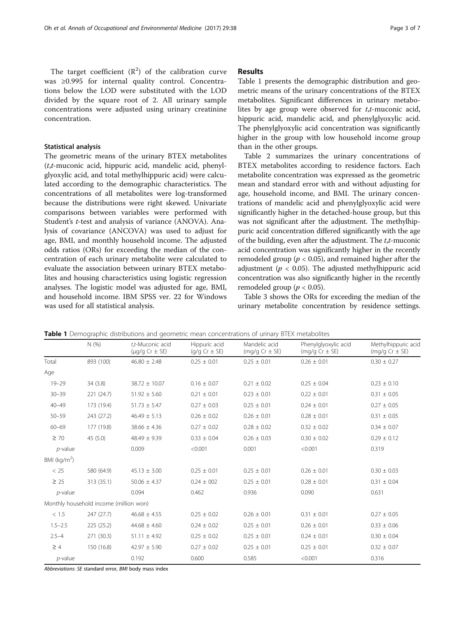The target coefficient  $(R^2)$  of the calibration curve was ≥0.995 for internal quality control. Concentrations below the LOD were substituted with the LOD divided by the square root of 2. All urinary sample concentrations were adjusted using urinary creatinine concentration.

## Statistical analysis

The geometric means of the urinary BTEX metabolites  $(t, t$ -muconic acid, hippuric acid, mandelic acid, phenylglyoxylic acid, and total methylhippuric acid) were calculated according to the demographic characteristics. The concentrations of all metabolites were log-transformed because the distributions were right skewed. Univariate comparisons between variables were performed with Student's t-test and analysis of variance (ANOVA). Analysis of covariance (ANCOVA) was used to adjust for age, BMI, and monthly household income. The adjusted odds ratios (ORs) for exceeding the median of the concentration of each urinary metabolite were calculated to evaluate the association between urinary BTEX metabolites and housing characteristics using logistic regression analyses. The logistic model was adjusted for age, BMI, and household income. IBM SPSS ver. 22 for Windows was used for all statistical analysis.

## Results

Table 1 presents the demographic distribution and geometric means of the urinary concentrations of the BTEX metabolites. Significant differences in urinary metabolites by age group were observed for  $t, t$ -muconic acid, hippuric acid, mandelic acid, and phenylglyoxylic acid. The phenylglyoxylic acid concentration was significantly higher in the group with low household income group than in the other groups.

Table [2](#page-3-0) summarizes the urinary concentrations of BTEX metabolites according to residence factors. Each metabolite concentration was expressed as the geometric mean and standard error with and without adjusting for age, household income, and BMI. The urinary concentrations of mandelic acid and phenylglyoxylic acid were significantly higher in the detached-house group, but this was not significant after the adjustment. The methylhippuric acid concentration differed significantly with the age of the building, even after the adjustment. The t,t-muconic acid concentration was significantly higher in the recently remodeled group ( $p < 0.05$ ), and remained higher after the adjustment ( $p < 0.05$ ). The adjusted methylhippuric acid concentration was also significantly higher in the recently remodeled group ( $p < 0.05$ ).

Table [3](#page-4-0) shows the ORs for exceeding the median of the urinary metabolite concentration by residence settings.

|                 | N(%)                                   | t.t-Muconic acid<br>$(\mu q/q$ Cr $\pm$ SE) | Hippuric acid<br>$(q/q Cr \pm SE)$ | Mandelic acid<br>$(mg/g Cr \pm SE)$ | Phenylglyoxylic acid<br>$(mq/q Cr \pm SE)$ | Methylhippuric acid<br>(mg/g $Cr \pm SE$ ) |
|-----------------|----------------------------------------|---------------------------------------------|------------------------------------|-------------------------------------|--------------------------------------------|--------------------------------------------|
| Total           | 893 (100)                              | $46.80 \pm 2.48$                            | $0.25 \pm 0.01$                    | $0.25 \pm 0.01$                     | $0.26 \pm 0.01$                            | $0.30 \pm 0.27$                            |
| Age             |                                        |                                             |                                    |                                     |                                            |                                            |
| $19 - 29$       | 34(3.8)                                | $38.72 \pm 10.07$                           | $0.16 \pm 0.07$                    | $0.21 \pm 0.02$                     | $0.25 \pm 0.04$                            | $0.23 \pm 0.10$                            |
| $30 - 39$       | 221(24.7)                              | $51.92 \pm 5.60$                            | $0.21 \pm 0.01$                    | $0.23 \pm 0.01$                     | $0.22 \pm 0.01$                            | $0.31 \pm 0.05$                            |
| $40 - 49$       | 173 (19.4)                             | $51.73 \pm 5.47$                            | $0.27 \pm 0.03$                    | $0.25 \pm 0.01$                     | $0.24 \pm 0.01$                            | $0.27 \pm 0.05$                            |
| $50 - 59$       | 243 (27.2)                             | $46.49 \pm 5.13$                            | $0.26 \pm 0.02$                    | $0.26 \pm 0.01$                     | $0.28 \pm 0.01$                            | $0.31 \pm 0.05$                            |
| $60 - 69$       | 177 (19.8)                             | $38.66 \pm 4.36$                            | $0.27 \pm 0.02$                    | $0.28 \pm 0.02$                     | $0.32 \pm 0.02$                            | $0.34 \pm 0.07$                            |
| $\geq 70$       | 45(5.0)                                | $48.49 \pm 9.39$                            | $0.33 \pm 0.04$                    | $0.26 \pm 0.03$                     | $0.30 \pm 0.02$                            | $0.29 \pm 0.12$                            |
| $p$ -value      |                                        | 0.009                                       | < 0.001                            | 0.001                               | < 0.001                                    | 0.319                                      |
| BMI ( $kg/m2$ ) |                                        |                                             |                                    |                                     |                                            |                                            |
| < 25            | 580 (64.9)                             | $45.13 \pm 3.00$                            | $0.25 \pm 0.01$                    | $0.25 \pm 0.01$                     | $0.26 \pm 0.01$                            | $0.30 \pm 0.03$                            |
| $\geq 25$       | 313 (35.1)                             | $50.06 \pm 4.37$                            | $0.24 \pm 002$                     | $0.25 \pm 0.01$                     | $0.28 \pm 0.01$                            | $0.31 \pm 0.04$                            |
| $p$ -value      |                                        | 0.094                                       | 0.462                              | 0.936                               | 0.090                                      | 0.631                                      |
|                 | Monthly household income (million won) |                                             |                                    |                                     |                                            |                                            |
| < 1.5           | 247(27.7)                              | $46.68 \pm 4.55$                            | $0.25 \pm 0.02$                    | $0.26 \pm 0.01$                     | $0.31 \pm 0.01$                            | $0.27 \pm 0.05$                            |
| $1.5 - 2.5$     | 225(25.2)                              | $44.68 \pm 4.60$                            | $0.24 \pm 0.02$                    | $0.25 \pm 0.01$                     | $0.26 \pm 0.01$                            | $0.33 \pm 0.06$                            |
| $2.5 - 4$       | 271 (30.3)                             | $51.11 \pm 4.92$                            | $0.25 \pm 0.02$                    | $0.25 \pm 0.01$                     | $0.24 \pm 0.01$                            | $0.30 \pm 0.04$                            |
| $\geq 4$        | 150 (16.8)                             | $42.97 \pm 5.90$                            | $0.27 \pm 0.02$                    | $0.25 \pm 0.01$                     | $0.25 \pm 0.01$                            | $0.32 \pm 0.07$                            |
| $p$ -value      |                                        | 0.192                                       | 0.600                              | 0.585                               | < 0.001                                    | 0.316                                      |

Table 1 Demographic distributions and geometric mean concentrations of urinary BTEX metabolites

Abbreviations: SE standard error, BMI body mass index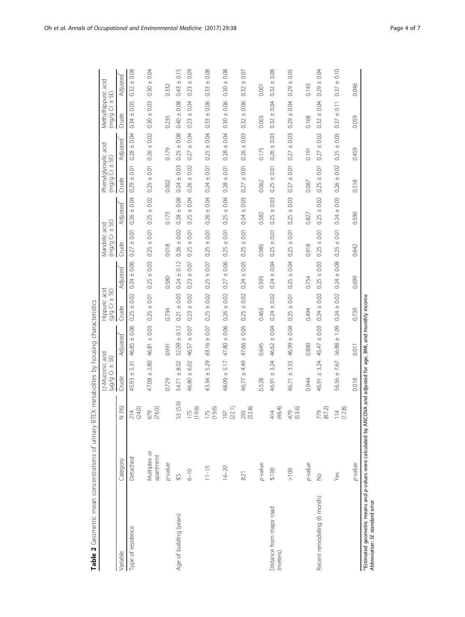|                                      |                           |                         | t,t-Muconic acid<br>$(10/9 G + S)$ |                       | Hippuric acid<br>$(g/g)$ $Gr + SE$ |                           | $(mg/gG + 5E)$<br>Vlandelic acid |                       | Phenylglyoxylic acid<br>$(mg/g)$ $Cr \pm$ SE) |                       | Methylhippuric acid<br>$(mg/g)$ $Gr \pm SE$ |                       |
|--------------------------------------|---------------------------|-------------------------|------------------------------------|-----------------------|------------------------------------|---------------------------|----------------------------------|-----------------------|-----------------------------------------------|-----------------------|---------------------------------------------|-----------------------|
| Variable                             | Category                  | $(96)$<br>z             | Crude                              | Adjusted <sup>*</sup> | Crude                              | Adjusted <sup>*</sup>     | Crude                            | Adjusted <sup>*</sup> | Crude                                         | Adjusted <sup>*</sup> | <b>Crude</b>                                | Adjusted <sup>*</sup> |
| Type of residence                    | Detached                  | (24.0)<br>214           | 531<br>45.93 ±                     | $46.85 \pm 0.06$      | 0.02<br>$0.25 \pm$                 | $0.24 \pm 0.06$           | $0.27 \pm 0.01$                  | $0.26 \pm 0.04$       | $0.29 \pm 0.01$                               | $0.28 \pm 0.04$       | $0.34 \pm 0.05$                             | $0.32 \pm 0.08$       |
|                                      | Multiplex or<br>apartment | (0.9)<br>g<br>Ó<br>⊵    | $47.08 \pm 2.80$                   | 46.81 ± 0.03          | $0.25 \pm 0.01$                    | $0.25 \pm 0.03$           | $0.25 \pm 0.01$                  | $0.25 \pm 0.02$       | $0.25 \pm 0.01$                               | $0.26 \pm 0.02$       | $0.30 \pm 0.03$                             | $0.30 \pm 0.04$       |
|                                      | p-value                   |                         | 0.729                              | 0.991                 | 0.734                              | 0.580                     | 0.018                            | 0.173                 | 0.002                                         | 0.179                 | 0.235                                       | 0.332                 |
| Age of building (years)              | $\frac{5}{2}$             | 53 (5.9)                | 8.02<br>$\pm$<br>54.71             | 0.12<br>$52.09 \pm$   | 0.03<br>$0.21 \pm$                 | 0.12<br>$0.24 \pm$        | 0.02<br>$0.26 \pm$               | 0.08<br>$0.28 \pm$    | 0.03<br>$0.24 \pm$                            | 0.08<br>$0.25 \pm$    | 0.08<br>$0.40 \pm 0$                        | 0.15<br>$0.43 \pm$    |
|                                      | $6 - 10$                  | 9.6)<br>75              | 6.02<br>46.80 ±                    | 46.57 ± 0.07          | $0.23 \pm 0.02$                    | 0.07<br>$\ddot{}$<br>0.23 | $0.25 \pm 0.01$                  | $0.25 \pm 0.04$       | $0.26 \pm 0.02$                               | $0.27 \pm 0.04$       | 0.04<br>$0.23 +$                            | $\pm 0.09$<br>0.23    |
|                                      | $11 - 15$                 | 196                     | 5.29<br>$+$<br>43.34               | $\pm 0.07$<br>43.16   | 0.02<br>$+$<br>0.25                | 0.07<br>$\ddot{}$<br>0.25 | $\pm 0.01$<br>0.25               | $0.26 \pm 0.04$       | $\pm 0.01$<br>0.24                            | 0.04<br>$+$<br>0.25   | 0.06<br>$+$<br>0.33                         | 0.08<br>$+$<br>0.33   |
|                                      | $16 - 20$                 | (22.1)<br>50            | 5.17<br>48.09 ±                    | $47.80 \pm 0.06$      | $0.26 \pm 0.02$                    | $0.27 \pm 0.06$           | $0.25 \pm 0.01$                  | $0.25 \pm 0.04$       | $0.28 \pm 0.01$                               | $0.28 \pm 0.04$       | $0.30 \pm 0.06$                             | $0.30 \pm 0.08$       |
|                                      | $\geq 21$                 | (32.8)<br>293           | 64.49<br>46.77                     | $47.66 \pm 0.05$      | 0.02<br>$0.25 \pm$                 | $0.24 \pm 0.05$           | $0.25 \pm 0.01$                  | $0.24 \pm 0.03$       | $\pm$ 0.01<br>0.27                            | $0.26 \pm 0.03$       | ±0.06<br>032                                | 0.07<br>$+$<br>0.32   |
|                                      | p-value                   |                         | 0.528                              | 0.645                 | 0.463                              | 0.593                     | 0.985                            | 0.582                 | 0.062                                         | 0.175                 | 0.003                                       | 0.001                 |
| Distance from major road<br>(meters) | $\leq 100$                | (46.4)<br>414           | 3.24<br>$+$<br>46.91               | $46.62 \pm 0.04$      | 0.02<br>$0.24 \pm$                 | 0.04<br>$+$<br>0.24       | 0.01<br>$0.25 \pm$               | 0.03<br>$0.25 \pm$    | 0.01<br>$\ddot{}$<br>0.25                     | 0.03<br>$0.26 \pm$    | 0.04<br>$0.32 \pm$                          | 0.06<br>$+$<br>0.32   |
|                                      | $\geq 100$                | (53.6)<br>479           | 46.71 ± 3.55                       | 46.99 ± 0.04          | $0.25 \pm 0.01$                    | $0.25 \pm 0.04$           | $0.25 \pm 0.01$                  | $0.25 \pm 0.03$       | $0.27 \pm 0.01$                               | $0.27 \pm 0.03$       | $0.29 + 0.04$                               | $0.29 \pm 0.05$       |
|                                      | p-value                   |                         | 0.944                              | 0.890                 | 0.494                              | 0.754                     | 0.918                            | 0.827                 | 0.087                                         | 0.191                 | 0.168                                       | 0.143                 |
| Recent remodeling (6 month)          | $\frac{1}{2}$             | (87.2)<br>779           | 3.24<br>$+$<br>46.91               | $\pm$ 0.03<br>45.47   | 0.02<br>$0.24 \pm$                 | 0.03<br>$+$<br>0.25       | 0.01<br>$+$<br>0.25              | 0.02<br>$0.25 \pm$    | 0.01<br>$\ddot{}$<br>0.25                     | 0.02<br>$+$<br>0.27   | 0.04<br>$0.32 \pm$                          | 0.04<br>$0.29 \pm$    |
|                                      | Yes                       | (2.8)<br>$\overline{4}$ | $56.56 \pm 7.67$                   | $56.88 \pm 1.09$      | $0.24 \pm 0.02$                    | $0.24 \pm 0.08$           | $0.25 \pm 0.01$                  | $0.24 \pm 0.05$       | $0.26 \pm 0.02$                               | $0.25 \pm 0.05$       | $0.37 \pm 0.11$                             | $0.37 \pm 0.10$       |
|                                      | p-value                   |                         | 0.018                              | 0.011                 | 0.739                              | 0.699                     | 0.642                            | 0.590                 | 0.518                                         | 0.459                 | 0.059                                       | 0.046                 |

Table 2 Geometric mean concentrations of urinary BTEX metabolites by housing characteristics Table 2 Geometric mean concentrations of urinary BTEX metabolites by housing characteristics

<span id="page-3-0"></span>Oh et al. Annals of Occupational and Environmental Medicine (2017) 29:38 Page 4 of 7

"Estimated geometric means and p-values were calculated by ANCOVA and adjusted for age, BMI, and monthly income<br>Abbreviation: SE standard error \*Estimated geometric means and p-values were calculated by ANCOVA and adjusted for age, BMI, and monthly income Abbreviation: SE standard error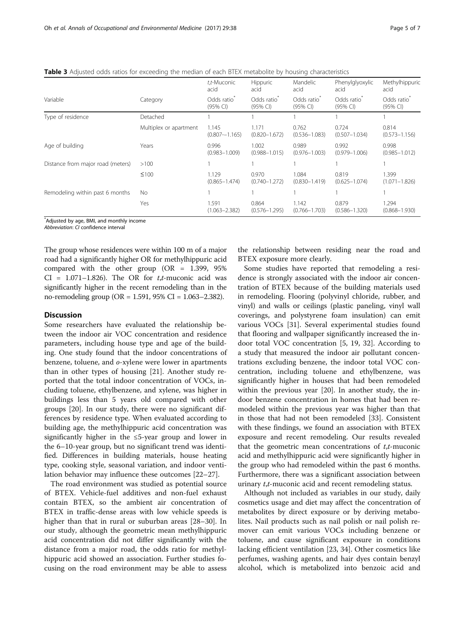<span id="page-4-0"></span>

|  |  | <b>Table 3</b> Adjusted odds ratios for exceeding the median of each BTEX metabolite by housing characteristics |
|--|--|-----------------------------------------------------------------------------------------------------------------|
|--|--|-----------------------------------------------------------------------------------------------------------------|

|                                   |                        | t,t-Muconic<br>acid                 | <b>Hippuric</b><br>acid    | Mandelic<br>acid                    | Phenylglyoxylic<br>acid    | Methylhippuric<br>acid           |
|-----------------------------------|------------------------|-------------------------------------|----------------------------|-------------------------------------|----------------------------|----------------------------------|
| Variable                          | Category               | Odds ratio <sup>®</sup><br>(95% CI) | Odds ratio<br>(95% Cl)     | Odds ratio <sup>®</sup><br>(95% CI) | Odds ratio<br>(95% CI)     | Odds ratio<br>$(95% \text{ Cl})$ |
| Type of residence                 | Detached               |                                     |                            |                                     |                            |                                  |
|                                   | Multiplex or apartment | 1.145<br>$(0.807 - 1.165)$          | 1.171<br>$(0.820 - 1.672)$ | 0.762<br>$(0.536 - 1.083)$          | 0.724<br>$(0.507 - 1.034)$ | 0.814<br>$(0.573 - 1.156)$       |
| Age of building                   | Years                  | 0.996<br>$(0.983 - 1.009)$          | 1.002<br>$(0.988 - 1.015)$ | 0.989<br>$(0.976 - 1.003)$          | 0.992<br>$(0.979 - 1.006)$ | 0.998<br>$(0.985 - 1.012)$       |
| Distance from major road (meters) | >100                   |                                     |                            |                                     |                            |                                  |
|                                   | $\leq 100$             | 1.129<br>$(0.865 - 1.474)$          | 0.970<br>$(0.740 - 1.272)$ | 1.084<br>$(0.830 - 1.419)$          | 0.819<br>$(0.625 - 1.074)$ | 1.399<br>$(1.071 - 1.826)$       |
| Remodeling within past 6 months   | No                     |                                     |                            |                                     |                            |                                  |
|                                   | Yes                    | 1.591<br>$(1.063 - 2.382)$          | 0.864<br>$(0.576 - 1.295)$ | 1.142<br>$(0.766 - 1.703)$          | 0.879<br>$(0.586 - 1.320)$ | 1.294<br>$(0.868 - 1.930)$       |

\* Adjusted by age, BMI, and monthly income

Abbreviation: CI confidence interval

The group whose residences were within 100 m of a major road had a significantly higher OR for methylhippuric acid compared with the other group (OR = 1.399, 95%  $CI = 1.071 - 1.826$ . The OR for  $t, t$ -muconic acid was significantly higher in the recent remodeling than in the no-remodeling group (OR = 1.591, 95% CI = 1.063–2.382).

## **Discussion**

Some researchers have evaluated the relationship between the indoor air VOC concentration and residence parameters, including house type and age of the building. One study found that the indoor concentrations of benzene, toluene, and o-xylene were lower in apartments than in other types of housing [[21\]](#page-6-0). Another study reported that the total indoor concentration of VOCs, including toluene, ethylbenzene, and xylene, was higher in buildings less than 5 years old compared with other groups [\[20](#page-6-0)]. In our study, there were no significant differences by residence type. When evaluated according to building age, the methylhippuric acid concentration was significantly higher in the ≤5-year group and lower in the 6–10-year group, but no significant trend was identified. Differences in building materials, house heating type, cooking style, seasonal variation, and indoor ventilation behavior may influence these outcomes [[22](#page-6-0)–[27](#page-6-0)].

The road environment was studied as potential source of BTEX. Vehicle-fuel additives and non-fuel exhaust contain BTEX, so the ambient air concentration of BTEX in traffic-dense areas with low vehicle speeds is higher than that in rural or suburban areas [[28](#page-6-0)–[30\]](#page-6-0). In our study, although the geometric mean methylhippuric acid concentration did not differ significantly with the distance from a major road, the odds ratio for methylhippuric acid showed an association. Further studies focusing on the road environment may be able to assess the relationship between residing near the road and BTEX exposure more clearly.

Some studies have reported that remodeling a residence is strongly associated with the indoor air concentration of BTEX because of the building materials used in remodeling. Flooring (polyvinyl chloride, rubber, and vinyl) and walls or ceilings (plastic paneling, vinyl wall coverings, and polystyrene foam insulation) can emit various VOCs [[31\]](#page-6-0). Several experimental studies found that flooring and wallpaper significantly increased the indoor total VOC concentration [\[5](#page-6-0), [19](#page-6-0), [32\]](#page-6-0). According to a study that measured the indoor air pollutant concentrations excluding benzene, the indoor total VOC concentration, including toluene and ethylbenzene, was significantly higher in houses that had been remodeled within the previous year [\[20](#page-6-0)]. In another study, the indoor benzene concentration in homes that had been remodeled within the previous year was higher than that in those that had not been remodeled [[33](#page-6-0)]. Consistent with these findings, we found an association with BTEX exposure and recent remodeling. Our results revealed that the geometric mean concentrations of  $t$ , $t$ -muconic acid and methylhippuric acid were significantly higher in the group who had remodeled within the past 6 months. Furthermore, there was a significant association between urinary *t*,*t*-muconic acid and recent remodeling status.

Although not included as variables in our study, daily cosmetics usage and diet may affect the concentration of metabolites by direct exposure or by deriving metabolites. Nail products such as nail polish or nail polish remover can emit various VOCs including benzene or toluene, and cause significant exposure in conditions lacking efficient ventilation [\[23](#page-6-0), [34](#page-6-0)]. Other cosmetics like perfumes, washing agents, and hair dyes contain benzyl alcohol, which is metabolized into benzoic acid and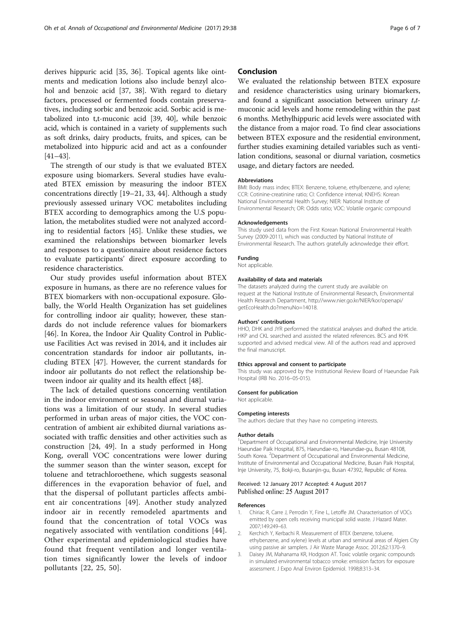<span id="page-5-0"></span>derives hippuric acid [[35, 36\]](#page-6-0). Topical agents like ointments and medication lotions also include benzyl alcohol and benzoic acid [[37](#page-6-0), [38](#page-6-0)]. With regard to dietary factors, processed or fermented foods contain preservatives, including sorbic and benzoic acid. Sorbic acid is metabolized into t,t-muconic acid [[39, 40\]](#page-6-0), while benzoic acid, which is contained in a variety of supplements such as soft drinks, dairy products, fruits, and spices, can be metabolized into hippuric acid and act as a confounder [[41](#page-6-0)–[43\]](#page-6-0).

The strength of our study is that we evaluated BTEX exposure using biomarkers. Several studies have evaluated BTEX emission by measuring the indoor BTEX concentrations directly [[19](#page-6-0)–[21](#page-6-0), [33, 44\]](#page-6-0). Although a study previously assessed urinary VOC metabolites including BTEX according to demographics among the U.S population, the metabolites studied were not analyzed according to residential factors [[45\]](#page-6-0). Unlike these studies, we examined the relationships between biomarker levels and responses to a questionnaire about residence factors to evaluate participants' direct exposure according to residence characteristics.

Our study provides useful information about BTEX exposure in humans, as there are no reference values for BTEX biomarkers with non-occupational exposure. Globally, the World Health Organization has set guidelines for controlling indoor air quality; however, these standards do not include reference values for biomarkers [[46\]](#page-6-0). In Korea, the Indoor Air Quality Control in Publicuse Facilities Act was revised in 2014, and it includes air concentration standards for indoor air pollutants, including BTEX [[47\]](#page-6-0). However, the current standards for indoor air pollutants do not reflect the relationship between indoor air quality and its health effect [[48\]](#page-6-0).

The lack of detailed questions concerning ventilation in the indoor environment or seasonal and diurnal variations was a limitation of our study. In several studies performed in urban areas of major cities, the VOC concentration of ambient air exhibited diurnal variations associated with traffic densities and other activities such as construction [[24, 49](#page-6-0)]. In a study performed in Hong Kong, overall VOC concentrations were lower during the summer season than the winter season, except for toluene and tetrachloroethene, which suggests seasonal differences in the evaporation behavior of fuel, and that the dispersal of pollutant particles affects ambient air concentrations [[49](#page-6-0)]. Another study analyzed indoor air in recently remodeled apartments and found that the concentration of total VOCs was negatively associated with ventilation conditions [[44](#page-6-0)]. Other experimental and epidemiological studies have found that frequent ventilation and longer ventilation times significantly lower the levels of indoor pollutants [[22, 25](#page-6-0), [50\]](#page-6-0).

## Conclusion

We evaluated the relationship between BTEX exposure and residence characteristics using urinary biomarkers, and found a significant association between urinary  $t,t$ muconic acid levels and home remodeling within the past 6 months. Methylhippuric acid levels were associated with the distance from a major road. To find clear associations between BTEX exposure and the residential environment, further studies examining detailed variables such as ventilation conditions, seasonal or diurnal variation, cosmetics usage, and dietary factors are needed.

#### Abbreviations

BMI: Body mass index; BTEX: Benzene, toluene, ethylbenzene, and xylene; CCR: Cotinine-creatinine ratio; CI: Confidence interval; KNEHS: Korean National Environmental Health Survey; NIER: National Institute of Environmental Research; OR: Odds ratio; VOC: Volatile organic compound

#### Acknowledgements

This study used data from the First Korean National Environmental Health Survey (2009-2011), which was conducted by National Institute of Environmental Research. The authors gratefully acknowledge their effort.

#### Funding

Not applicable.

## Availability of data and materials

The datasets analyzed during the current study are available on request at the National Institute of Environmental Research, Environmental Health Research Department, [http://www.nier.go.kr/NIER/kor/openapi/](http://www.nier.go.kr/NIER/kor/openapi/getEcoHealth.do?menuNo=14018) [getEcoHealth.do?menuNo=14018.](http://www.nier.go.kr/NIER/kor/openapi/getEcoHealth.do?menuNo=14018)

#### Authors' contributions

HHO, DHK and JYR performed the statistical analyses and drafted the article. HKP and CKL searched and assisted the related references. BCS and KHK supported and advised medical view. All of the authors read and approved the final manuscript.

#### Ethics approval and consent to participate

This study was approved by the Institutional Review Board of Haeundae Paik Hospital (IRB No. 2016–05-015).

#### Consent for publication

Not applicable.

#### Competing interests

The authors declare that they have no competing interests.

#### Author details

<sup>1</sup>Department of Occupational and Environmental Medicine, Inje University Haeundae Paik Hospital, 875, Haeundae-ro, Haeundae-gu, Busan 48108, South Korea. <sup>2</sup> Department of Occupational and Environmental Medicine, Institute of Environmental and Occupational Medicine, Busan Paik Hospital, Inje University, 75, Bokji-ro, Busanjin-gu, Busan 47392, Republic of Korea.

## Received: 12 January 2017 Accepted: 4 August 2017 Published online: 25 August 2017

#### References

- 1. Chiriac R, Carre J, Perrodin Y, Fine L, Letoffe JM. Characterisation of VOCs emitted by open cells receiving municipal solid waste. J Hazard Mater. 2007;149:249–63.
- 2. Kerchich Y, Kerbachi R. Measurement of BTEX (benzene, toluene, ethybenzene, and xylene) levels at urban and semirural areas of Algiers City using passive air samplers. J Air Waste Manage Assoc. 2012;62:1370–9.
- 3. Daisey JM, Mahanama KR, Hodgson AT. Toxic volatile organic compounds in simulated environmental tobacco smoke: emission factors for exposure assessment. J Expo Anal Environ Epidemiol. 1998;8:313–34.